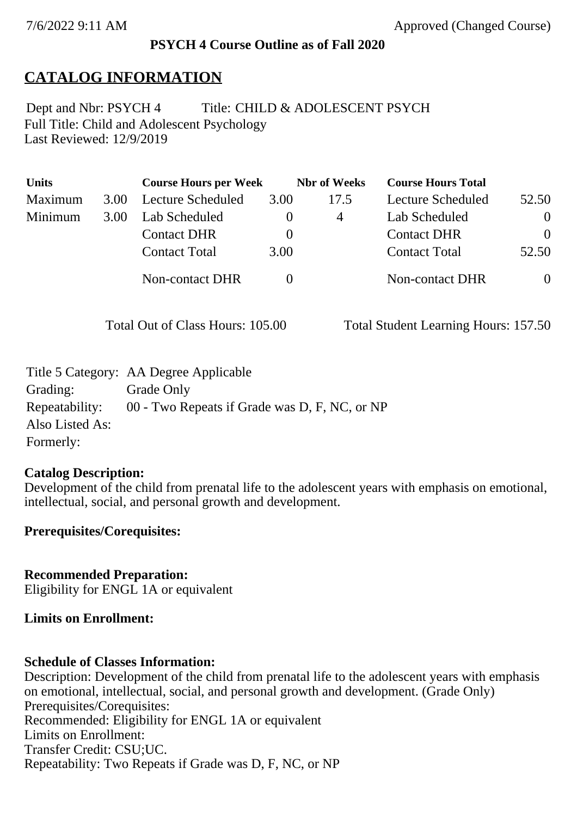## **PSYCH 4 Course Outline as of Fall 2020**

# **CATALOG INFORMATION**

Full Title: Child and Adolescent Psychology Last Reviewed: 12/9/2019 Dept and Nbr: PSYCH 4 Title: CHILD & ADOLESCENT PSYCH

| <b>Units</b> |      | <b>Course Hours per Week</b> |          | <b>Nbr</b> of Weeks | <b>Course Hours Total</b> |          |
|--------------|------|------------------------------|----------|---------------------|---------------------------|----------|
| Maximum      | 3.00 | Lecture Scheduled            | 3.00     | 17.5                | Lecture Scheduled         | 52.50    |
| Minimum      | 3.00 | Lab Scheduled                |          | 4                   | Lab Scheduled             | $\theta$ |
|              |      | <b>Contact DHR</b>           | $\theta$ |                     | <b>Contact DHR</b>        | $\Omega$ |
|              |      | <b>Contact Total</b>         | 3.00     |                     | <b>Contact Total</b>      | 52.50    |
|              |      | Non-contact DHR              |          |                     | <b>Non-contact DHR</b>    | $\theta$ |

Total Out of Class Hours: 105.00 Total Student Learning Hours: 157.50

|                 | Title 5 Category: AA Degree Applicable        |
|-----------------|-----------------------------------------------|
| Grading:        | Grade Only                                    |
| Repeatability:  | 00 - Two Repeats if Grade was D, F, NC, or NP |
| Also Listed As: |                                               |
| Formerly:       |                                               |

### **Catalog Description:**

Development of the child from prenatal life to the adolescent years with emphasis on emotional, intellectual, social, and personal growth and development.

### **Prerequisites/Corequisites:**

**Recommended Preparation:** Eligibility for ENGL 1A or equivalent

## **Limits on Enrollment:**

### **Schedule of Classes Information:**

Description: Development of the child from prenatal life to the adolescent years with emphasis on emotional, intellectual, social, and personal growth and development. (Grade Only) Prerequisites/Corequisites: Recommended: Eligibility for ENGL 1A or equivalent Limits on Enrollment: Transfer Credit: CSU;UC. Repeatability: Two Repeats if Grade was D, F, NC, or NP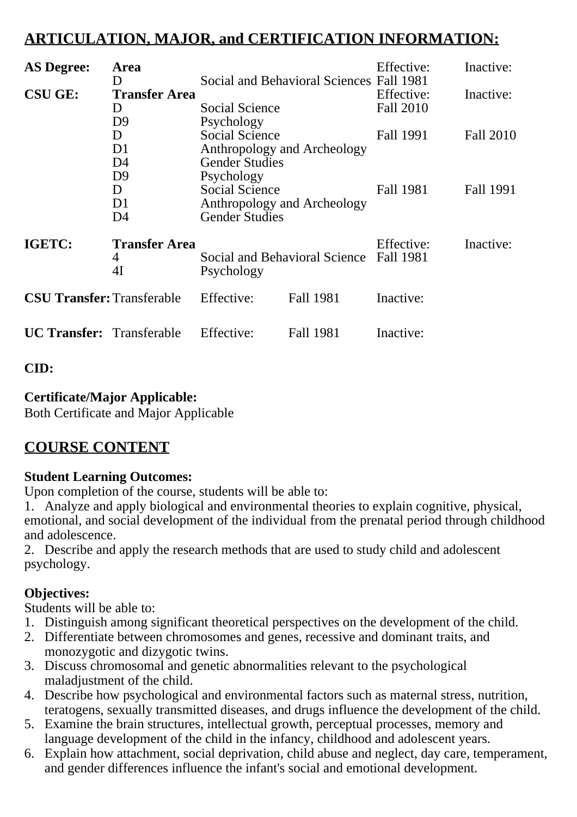# **ARTICULATION, MAJOR, and CERTIFICATION INFORMATION:**

| <b>AS Degree:</b>                 | Area                                              |                                                                                                                      |           | Effective:              | Inactive:        |
|-----------------------------------|---------------------------------------------------|----------------------------------------------------------------------------------------------------------------------|-----------|-------------------------|------------------|
| <b>CSU GE:</b>                    | D<br><b>Transfer Area</b><br>D                    | Social and Behavioral Sciences Fall 1981<br><b>Social Science</b>                                                    |           | Effective:<br>Fall 2010 | Inactive:        |
|                                   | D <sub>9</sub><br>D<br>D <sub>1</sub>             | Psychology<br><b>Social Science</b><br>Anthropology and Archeology                                                   |           | Fall 1991               | <b>Fall 2010</b> |
|                                   | D4<br>D <sub>9</sub><br>D<br>D <sub>1</sub><br>D4 | <b>Gender Studies</b><br>Psychology<br><b>Social Science</b><br>Anthropology and Archeology<br><b>Gender Studies</b> |           | Fall 1981               | Fall 1991        |
| IGETC:                            | <b>Transfer Area</b><br>4<br>4I                   | Social and Behavioral Science<br>Psychology                                                                          |           | Effective:<br>Fall 1981 | Inactive:        |
| <b>CSU Transfer: Transferable</b> |                                                   | Effective:                                                                                                           | Fall 1981 | Inactive:               |                  |
| <b>UC Transfer:</b> Transferable  |                                                   | Effective:                                                                                                           | Fall 1981 | Inactive:               |                  |

**CID:**

# **Certificate/Major Applicable:**

[Both Certificate and Major Applicable](SR_ClassCheck.aspx?CourseKey=PSYCH4)

# **COURSE CONTENT**

## **Student Learning Outcomes:**

Upon completion of the course, students will be able to:

1. Analyze and apply biological and environmental theories to explain cognitive, physical, emotional, and social development of the individual from the prenatal period through childhood and adolescence.

2. Describe and apply the research methods that are used to study child and adolescent psychology.

# **Objectives:**

Students will be able to:

- 1. Distinguish among significant theoretical perspectives on the development of the child.
- 2. Differentiate between chromosomes and genes, recessive and dominant traits, and monozygotic and dizygotic twins.
- 3. Discuss chromosomal and genetic abnormalities relevant to the psychological maladjustment of the child.
- 4. Describe how psychological and environmental factors such as maternal stress, nutrition, teratogens, sexually transmitted diseases, and drugs influence the development of the child.
- 5. Examine the brain structures, intellectual growth, perceptual processes, memory and language development of the child in the infancy, childhood and adolescent years.
- 6. Explain how attachment, social deprivation, child abuse and neglect, day care, temperament, and gender differences influence the infant's social and emotional development.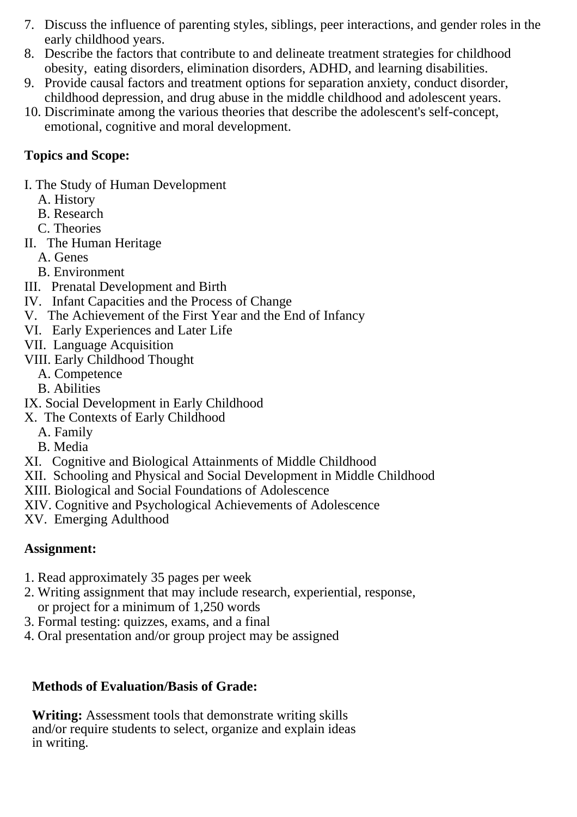- 7. Discuss the influence of parenting styles, siblings, peer interactions, and gender roles in the early childhood years.
- 8. Describe the factors that contribute to and delineate treatment strategies for childhood obesity, eating disorders, elimination disorders, ADHD, and learning disabilities.
- 9. Provide causal factors and treatment options for separation anxiety, conduct disorder, childhood depression, and drug abuse in the middle childhood and adolescent years.
- 10. Discriminate among the various theories that describe the adolescent's self-concept, emotional, cognitive and moral development.

## **Topics and Scope:**

I. The Study of Human Development

- A. History
- B. Research
- C. Theories
- II. The Human Heritage
	- A. Genes
	- B. Environment
- III. Prenatal Development and Birth
- IV. Infant Capacities and the Process of Change
- V. The Achievement of the First Year and the End of Infancy
- VI. Early Experiences and Later Life
- VII. Language Acquisition
- VIII. Early Childhood Thought
	- A. Competence
	- B. Abilities
- IX. Social Development in Early Childhood
- X. The Contexts of Early Childhood
	- A. Family
	- B. Media
- XI. Cognitive and Biological Attainments of Middle Childhood
- XII. Schooling and Physical and Social Development in Middle Childhood
- XIII. Biological and Social Foundations of Adolescence
- XIV. Cognitive and Psychological Achievements of Adolescence
- XV. Emerging Adulthood

## **Assignment:**

- 1. Read approximately 35 pages per week
- 2. Writing assignment that may include research, experiential, response, or project for a minimum of 1,250 words
- 3. Formal testing: quizzes, exams, and a final
- 4. Oral presentation and/or group project may be assigned

# **Methods of Evaluation/Basis of Grade:**

**Writing:** Assessment tools that demonstrate writing skills and/or require students to select, organize and explain ideas in writing.